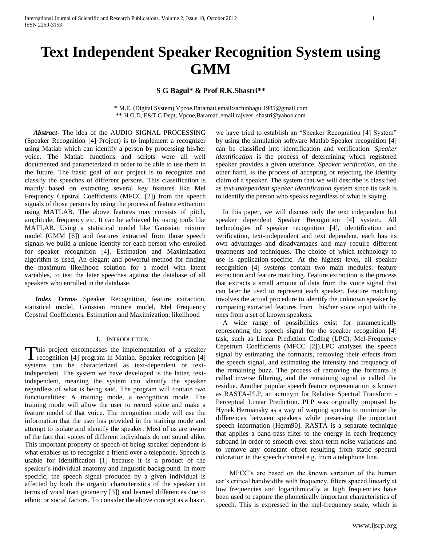# **Text Independent Speaker Recognition System using GMM**

# **S G Bagul\* & Prof R.K.Shastri\*\***

\* M.E. (Digital System),Vpcoe,Baramati,email:sachinbagul1985@gmail.com \*\* H.O.D, E&T.C Dept, Vpcoe,Baramati,email:rajveer\_shastri@yahoo.com

 *Abstract***-** The idea of the AUDIO SIGNAL PROCESSING (Speaker Recognition [4] Project) is to implement a recognizer using Matlab which can identify a person by processing his/her voice. The Matlab functions and scripts were all well documented and parameterized in order to be able to use them in the future. The basic goal of our project is to recognize and classify the speeches of different persons. This classification is mainly based on extracting several key features like Mel Frequency Cepstral Coefficients (MFCC [2]) from the speech signals of those persons by using the process of feature extraction using MATLAB. The above features may consists of pitch, amplitude, frequency etc. It can be achieved by using tools like MATLAB. Using a statistical model like Gaussian mixture model (GMM [6]) and features extracted from those speech signals we build a unique identity for each person who enrolled for speaker recognition [4]. Estimation and Maximization algorithm is used, An elegant and powerful method for finding the maximum likelihood solution for a model with latent variables, to test the later speeches against the database of all speakers who enrolled in the database.

 *Index Terms*- Speaker Recognition, feature extraction, statistical model, Gaussian mixture model, Mel Frequency Cepstral Coefficients, Estimation and Maximization, likelihood

#### I. INTRODUCTION

his project encompasses the implementation of a speaker This project encompasses the implementation of a speaker recognition [4] program in Matlab. Speaker recognition [4] systems can be characterized as text-dependent or textindependent. The system we have developed is the latter, textindependent, meaning the system can identify the speaker regardless of what is being said. The program will contain two functionalities: A training mode, a recognition mode. The training mode will allow the user to record voice and make a feature model of that voice. The recognition mode will use the information that the user has provided in the training mode and attempt to isolate and identify the speaker. Most of us are aware of the fact that voices of different individuals do not sound alike. This important property of speech-of being speaker dependent-is what enables us to recognize a friend over a telephone. Speech is usable for identification [1] because it is a product of the speaker's individual anatomy and linguistic background. In more specific, the speech signal produced by a given individual is affected by both the organic characteristics of the speaker (in terms of vocal tract geometry [3]) and learned differences due to ethnic or social factors. To consider the above concept as a basic,

we have tried to establish an "Speaker Recognition [4] System" by using the simulation software Matlab Speaker recognition [4] can be classified into identification and verification. *Speaker identification* is the process of determining which registered speaker provides a given utterance. *Speaker verification*, on the other hand, is the process of accepting or rejecting the identity claim of a speaker. The system that we will describe is classified as *text-independent speaker identification* system since its task is to identify the person who speaks regardless of what is saying.

 In this paper, we will discuss only the text independent but speaker dependent Speaker Recognition [4] system. All technologies of speaker recognition [4], identification and verification, text-independent and text dependent, each has its own advantages and disadvantages and may require different treatments and techniques. The choice of which technology to use is application-specific. At the highest level, all speaker recognition [4] systems contain two main modules: feature extraction and feature matching. Feature extraction is the process that extracts a small amount of data from the voice signal that can later be used to represent each speaker. Feature matching involves the actual procedure to identify the unknown speaker by comparing extracted features from his/her voice input with the ones from a set of known speakers.

 A wide range of possibilities exist for parametrically representing the speech signal for the speaker recognition [4] task, such as Linear Prediction Coding (LPC), Mel-Frequency Cepstrum Coefficients (MFCC [2]).LPC analyzes the speech signal by estimating the formants, removing their effects from the speech signal, and estimating the intensity and frequency of the remaining buzz. The process of removing the formants is called inverse filtering, and the remaining signal is called the residue. Another popular speech feature representation is known as RASTA-PLP, an acronym for Relative Spectral Transform - Perceptual Linear Prediction. PLP was originally proposed by Hynek Hermansky as a way of warping spectra to minimize the differences between speakers while preserving the important speech information [Herm90]. RASTA is a separate technique that applies a band-pass filter to the energy in each frequency subband in order to smooth over short-term noise variations and to remove any constant offset resulting from static spectral coloration in the speech channel e.g. from a telephone line.

 MFCC"s are based on the known variation of the human ear"s critical bandwidths with frequency, filters spaced linearly at low frequencies and logarithmically at high frequencies have been used to capture the phonetically important characteristics of speech. This is expressed in the mel-frequency scale, which is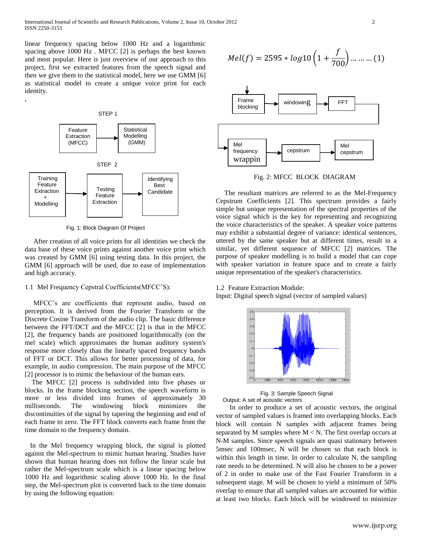linear frequency spacing below 1000 Hz and a logarithmic spacing above 1000 Hz . MFCC [2] is perhaps the best known and most popular. Here is just overview of our approach to this project, first we extracted features from the speech signal and then we give them to the statistical model, here we use GMM [6] as statistical model to create a unique voice print for each identity.



Fig. 1: Block Diagram Of Project

 After creation of all voice prints for all identities we check the data base of these voice prints against another voice print which was created by GMM [6] using testing data. In this project, the GMM [6] approach will be used, due to ease of implementation and high accuracy.

# 1.1 Mel Frequency Cepstral Coefficients(MFCC"S):

 MFCC"s are coefficients that represent audio, based on perception. It is derived from the Fourier Transform or the Discrete Cosine Transform of the audio clip. The basic difference between the FFT/DCT and the MFCC [2] is that in the MFCC [2], the frequency bands are positioned logarithmically (on the mel scale) which approximates the human auditory system's response more closely than the linearly spaced frequency bands of FFT or DCT. This allows for better processing of data, for example, in audio compression. The main purpose of the MFCC [2] processor is to mimic the behaviour of the human ears.

 The MFCC [2] process is subdivided into five phases or blocks. In the frame blocking section, the speech waveform is more or less divided into frames of approximately 30 milliseconds. The windowing block minimizes the discontinuities of the signal by tapering the beginning and end of each frame to zero. The FFT block converts each frame from the time domain to the frequency domain.

 In the Mel frequency wrapping block, the signal is plotted against the Mel-spectrum to mimic human hearing. Studies have shown that human hearing does not follow the linear scale but rather the Mel-spectrum scale which is a linear spacing below 1000 Hz and logarithmic scaling above 1000 Hz. In the final step, the Mel-spectrum plot is converted back to the time domain by using the following equation:

$$
Mel(f) = 2595 * log 10 \left( 1 + \frac{f}{700} \right) \dots \dots \dots (1)
$$



Fig. 2: MFCC BLOCK DIAGRAM

 The resultant matrices are referred to as the Mel-Frequency Cepstrum Coefficients [2]. This spectrum provides a fairly simple but unique representation of the spectral properties of the voice signal which is the key for representing and recognizing the voice characteristics of the speaker. A speaker voice patterns may exhibit a substantial degree of variance: identical sentences, uttered by the same speaker but at different times, result in a similar, yet different sequence of MFCC [2] matrices. The purpose of speaker modelling is to build a model that can cope with speaker variation in feature space and to create a fairly unique representation of the speaker's characteristics.

#### 1.2 Feature Extraction Module:

Input: Digital speech signal (vector of sampled values)



 Fig. 3: Sample Speech Signal Output: A set of acoustic vectors

 In order to produce a set of acoustic vectors, the original vector of sampled values is framed into overlapping blocks. Each block will contain N samples with adjacent frames being separated by M samples where  $M < N$ . The first overlap occurs at N-M samples. Since speech signals are quasi stationary between 5msec and 100msec, N will be chosen so that each block is within this length in time. In order to calculate N, the sampling rate needs to be determined. N will also be chosen to be a power of 2 in order to make use of the Fast Fourier Transform in a subsequent stage. M will be chosen to yield a minimum of 50% overlap to ensure that all sampled values are accounted for within at least two blocks. Each block will be windowed to minimize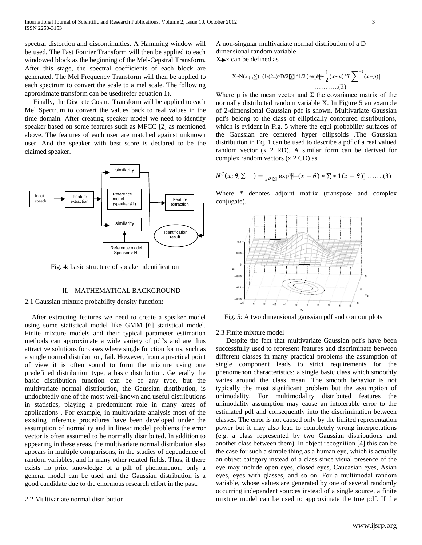spectral distortion and discontinuities. A Hamming window will be used. The Fast Fourier Transform will then be applied to each windowed block as the beginning of the Mel-Cepstral Transform. After this stage, the spectral coefficients of each block are generated. The Mel Frequency Transform will then be applied to each spectrum to convert the scale to a mel scale. The following approximate transform can be used(refer equation 1).

Finally, the Discrete Cosine Transform will be applied to each Mel Spectrum to convert the values back to real values in the time domain. After creating speaker model we need to identify speaker based on some features such as MFCC [2] as mentioned above. The features of each user are matched against unknown user. And the speaker with best score is declared to be the claimed speaker.



Fig. 4: basic structure of speaker identification

## II. MATHEMATICAL BACKGROUND

# 2.1 Gaussian mixture probability density function:

 After extracting features we need to create a speaker model using some statistical model like GMM [6] statistical model. Finite mixture models and their typical parameter estimation methods can approximate a wide variety of pdf's and are thus attractive solutions for cases where single function forms, such as a single normal distribution, fail. However, from a practical point of view it is often sound to form the mixture using one predefined distribution type, a basic distribution. Generally the basic distribution function can be of any type, but the multivariate normal distribution, the Gaussian distribution, is undoubtedly one of the most well-known and useful distributions in statistics, playing a predominant role in many areas of applications . For example, in multivariate analysis most of the existing inference procedures have been developed under the assumption of normality and in linear model problems the error vector is often assumed to be normally distributed. In addition to appearing in these areas, the multivariate normal distribution also appears in multiple comparisons, in the studies of dependence of random variables, and in many other related fields. Thus, if there exists no prior knowledge of a pdf of phenomenon, only a general model can be used and the Gaussian distribution is a good candidate due to the enormous research effort in the past.

## 2.2 Multivariate normal distribution

A non-singular multivariate normal distribution of a D dimensional random variable  $X \rightarrow x$  can be defined as

X-N(x, 
$$
\mu
$$
,  $\Sigma$ )=(1/(2 $\pi$ )<sup>^</sup>D/2| $\Sigma$ |<sup>^</sup>1/2)exp[ $\frac{1}{2}$ (x $\sim$  $\mu$ )<sup>^</sup>T $\sum$ <sup>-1</sup>(x $\sim$  $\mu$ )]  
........(2)

Where  $\mu$  is the mean vector and  $\Sigma$  the covariance matrix of the normally distributed random variable X. In Figure 5 an example of 2-dimensional Gaussian pdf is shown. Multivariate Gaussian pdf's belong to the class of elliptically contoured distributions, which is evident in Fig. 5 where the equi probability surfaces of the Gaussian are centered hyper ellipsoids .The Gaussian distribution in Eq. 1 can be used to describe a pdf of a real valued random vector (x 2 RD). A similar form can be derived for complex random vectors (x 2 CD) as

$$
N^{C}(x; \theta, \Sigma) = \frac{1}{\pi^{D|\Sigma|}} \exp[\mathbb{E} - (x - \theta) * \Sigma * 1(x - \theta)] \dots (3)
$$

Where \* denotes adjoint matrix (transpose and complex conjugate).



Fig. 5: A two dimensional gaussian pdf and contour plots

#### 2.3 Finite mixture model

 Despite the fact that multivariate Gaussian pdf's have been successfully used to represent features and discriminate between different classes in many practical problems the assumption of single component leads to strict requirements for the phenomenon characteristics: a single basic class which smoothly varies around the class mean. The smooth behavior is not typically the most significant problem but the assumption of unimodality. For multimodality distributed features the unimodality assumption may cause an intolerable error to the estimated pdf and consequently into the discrimination between classes. The error is not caused only by the limited representation power but it may also lead to completely wrong interpretations (e.g. a class represented by two Gaussian distributions and another class between them). In object recognition [4] this can be the case for such a simple thing as a human eye, which is actually an object category instead of a class since visual presence of the eye may include open eyes, closed eyes, Caucasian eyes, Asian eyes, eyes with glasses, and so on. For a multimodal random variable, whose values are generated by one of several randomly occurring independent sources instead of a single source, a finite mixture model can be used to approximate the true pdf. If the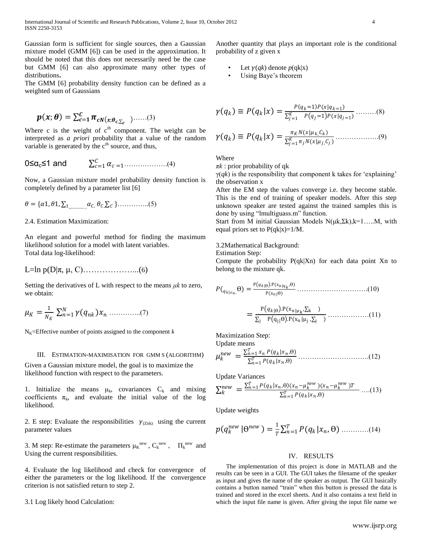International Journal of Scientific and Research Publications, Volume 2, Issue 10, October 2012 4 ISSN 2250-3153

Gaussian form is sufficient for single sources, then a Gaussian mixture model (GMM [6]) can be used in the approximation. It should be noted that this does not necessarily need be the case but GMM [6] can also approximate many other types of distributions**.**

The GMM [6] probability density function can be defined as a weighted sum of Gaussians

$$
p(x; \theta) = \sum_{c=1}^{C} \pi_{cN(x; \theta_{c,\sum_{c}})} \dots (3)
$$

Where c is the weight of  $c<sup>th</sup>$  component. The weight can be interpreted as *a priori* probability that a value of the random variable is generated by the c<sup>th</sup> source, and thus,

$$
0 \leq \alpha_c \leq 1 \text{ and } \qquad \sum_{c=1}^C \alpha_{c=1} \dots \dots \dots \dots \dots (4)
$$

Now, a Gaussian mixture model probability density function is completely defined by a parameter list [6]

 = {1, 1, ∑1,………… , , ,∑ }…………..(5)

2.4. Estimation Maximization:

An elegant and powerful method for finding the maximum likelihood solution for a model with latent variables. Total data log-likelihood:

$$
L = \ln p(D|\pi, \mu, C) \dots \dots \dots \dots \dots \dots (6)
$$

Setting the derivatives of L with respect to the means *μk* to zero, we obtain:

 = 1 ∑ ( ) =1 …………..(7)

 $N_K$ =Effective number of points assigned to the component  $k$ 

#### III. ESTIMATION-MAXIMISATION FOR GMM S (ALGORITHM)

Given a Gaussian mixture model, the goal is to maximize the likelihood function with respect to the parameters.

1. Initialize the means  $\mu_k$ , covariances  $C_k$  and mixing coefficients  $\pi_k$ , and evaluate the initial value of the log likelihood.

2. E step: Evaluate the responsibilities  $\gamma_{(Znk)}$  using the current parameter values

3. M step: Re-estimate the parameters  $\mu_K^{new}$ ,  $C_k^{new}$ ,  $\Pi_k^{new}$  and Using the current responsibilities.

4. Evaluate the log likelihood and check for convergence of either the parameters or the log likelihood. If theconvergence criterion is not satisfied return to step 2.

3.1 Log likely hood Calculation:

Another quantity that plays an important role is the conditional probability of z given x

- Let  $\gamma(qk)$  denote  $p(qk|x)$
- Using Baye's theorem

$$
\gamma(q_k) \equiv P(q_k|x) = \frac{P(q_k=1)P(x|q_{k=1})}{\sum_{j=1}^K P(q_j=1)P(x|q_{j=1})} \dots \dots \dots (8)
$$

 ≡ = (|,) ∑ =1 (|, ) ……………….(9)

Where

*πk* : prior probability of qk

 $\gamma(qk)$  is the responsibility that component k takes for 'explaining' the observation x

After the EM step the values converge i.e. they become stable. This is the end of training of speaker models. After this step unknown speaker are tested against the trained samples this is done by using "lmultiguass.m" function.

Start from M initial Gaussian Models  $N(\mu k, \Sigma k)$ ,  $k=1,...,M$ , with equal priors set to  $P(qk|x)=1/M$ .

3.2Mathematical Background:

Estimation Step:

Compute the probability P(qk|Xn) for each data point Xn to belong to the mixture qk.

(| , Ɵ) = <sup>P</sup> |<sup>Ɵ</sup> .P(xn|qk ,Ɵ) P(xn|Ɵ) ………………………….(10)

 = <sup>P</sup> |<sup>Ɵ</sup> .P(xn|<sup>μ</sup> <sup>k</sup> ,∑<sup>k</sup> ) ∑<sup>j</sup> P qj|Ɵ .P(x<sup>n</sup> |μ<sup>j</sup> ,∑j ) ………………(11)

Maximization Step:

Update means

 = ∑ (| ,Ɵ) =1 ∑ (| ,Ɵ) =1 ………………………….(12)

Update Variances

$$
\sum_{k}^{new} = \frac{\sum_{n=1}^{T} P(q_k | x_n, \theta)(x_n - \mu_k^{new})(x_n - \mu_k^{new})T}{\sum_{n=1}^{T} P(q_k | x_n, \theta)} \dots (13)
$$

Update weights

$$
p(q_k^{new} | \Theta^{new}) = \frac{1}{T} \sum_{n=1}^{T} P(q_k | x_n, \Theta) \dots (14)
$$

## IV. RESULTS

 The implementation of this project is done in MATLAB and the results can be seen in a GUI. The GUI takes the filename of the speaker as input and gives the name of the speaker as output. The GUI basically contains a button named "train" when this button is pressed the data is trained and stored in the excel sheets. And it also contains a text field in which the input file name is given. After giving the input file name we